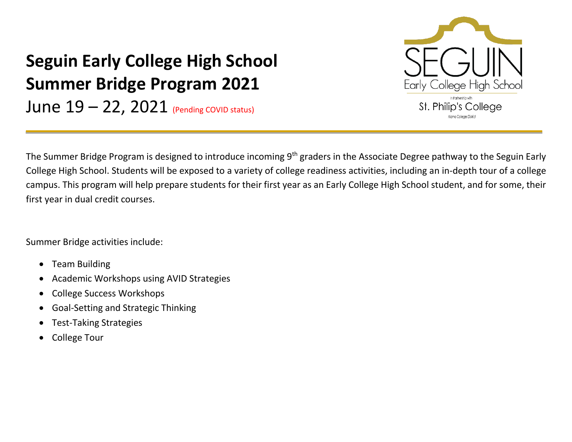## Early College High School St. Philip's College Alamo Colleges District

## **Seguin Early College High School Summer Bridge Program 2021**

June  $19 - 22$ , 2021 (Pending COVID status)

The Summer Bridge Program is designed to introduce incoming 9<sup>th</sup> graders in the Associate Degree pathway to the Seguin Early College High School. Students will be exposed to a variety of college readiness activities, including an in-depth tour of a college campus. This program will help prepare students for their first year as an Early College High School student, and for some, their first year in dual credit courses.

Summer Bridge activities include:

- Team Building
- Academic Workshops using AVID Strategies
- College Success Workshops
- Goal-Setting and Strategic Thinking
- Test-Taking Strategies
- College Tour